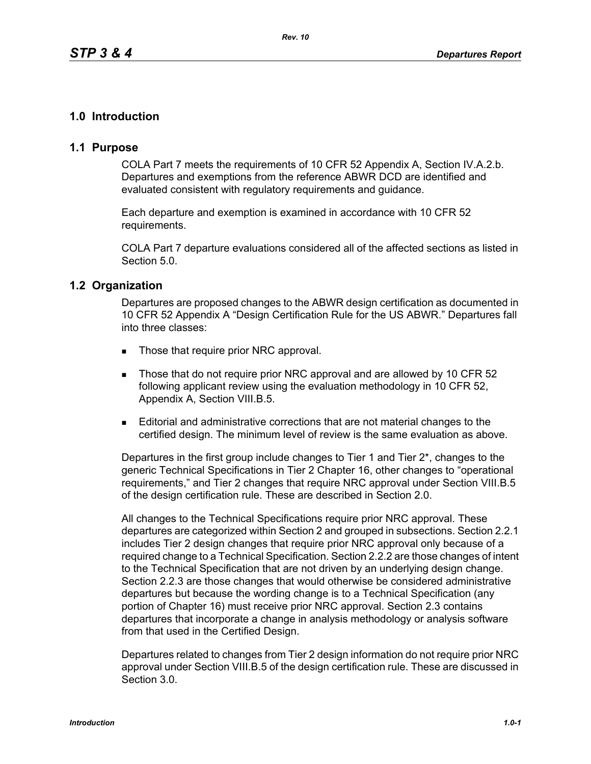# **1.0 Introduction**

## **1.1 Purpose**

COLA Part 7 meets the requirements of 10 CFR 52 Appendix A, Section IV.A.2.b. Departures and exemptions from the reference ABWR DCD are identified and evaluated consistent with regulatory requirements and guidance.

Each departure and exemption is examined in accordance with 10 CFR 52 requirements.

COLA Part 7 departure evaluations considered all of the affected sections as listed in Section 5.0.

### **1.2 Organization**

Departures are proposed changes to the ABWR design certification as documented in 10 CFR 52 Appendix A "Design Certification Rule for the US ABWR." Departures fall into three classes:

- Those that require prior NRC approval.
- Those that do not require prior NRC approval and are allowed by 10 CFR 52 following applicant review using the evaluation methodology in 10 CFR 52, Appendix A, Section VIII.B.5.
- Editorial and administrative corrections that are not material changes to the certified design. The minimum level of review is the same evaluation as above.

Departures in the first group include changes to Tier 1 and Tier 2\*, changes to the generic Technical Specifications in Tier 2 Chapter 16, other changes to "operational requirements," and Tier 2 changes that require NRC approval under Section VIII.B.5 of the design certification rule. These are described in Section 2.0.

All changes to the Technical Specifications require prior NRC approval. These departures are categorized within Section 2 and grouped in subsections. Section 2.2.1 includes Tier 2 design changes that require prior NRC approval only because of a required change to a Technical Specification. Section 2.2.2 are those changes of intent to the Technical Specification that are not driven by an underlying design change. Section 2.2.3 are those changes that would otherwise be considered administrative departures but because the wording change is to a Technical Specification (any portion of Chapter 16) must receive prior NRC approval. Section 2.3 contains departures that incorporate a change in analysis methodology or analysis software from that used in the Certified Design.

Departures related to changes from Tier 2 design information do not require prior NRC approval under Section VIII.B.5 of the design certification rule. These are discussed in Section 3.0.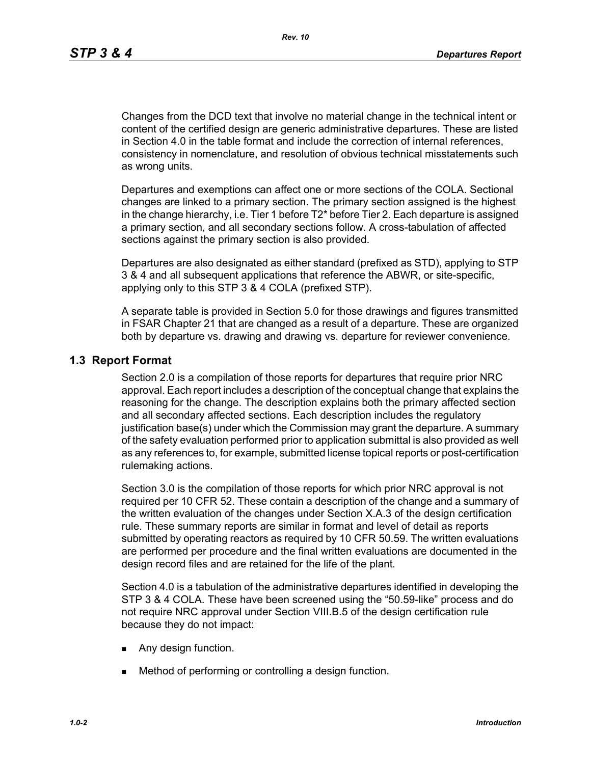Changes from the DCD text that involve no material change in the technical intent or content of the certified design are generic administrative departures. These are listed in Section 4.0 in the table format and include the correction of internal references, consistency in nomenclature, and resolution of obvious technical misstatements such as wrong units.

Departures and exemptions can affect one or more sections of the COLA. Sectional changes are linked to a primary section. The primary section assigned is the highest in the change hierarchy, i.e. Tier 1 before T2\* before Tier 2. Each departure is assigned a primary section, and all secondary sections follow. A cross-tabulation of affected sections against the primary section is also provided.

Departures are also designated as either standard (prefixed as STD), applying to STP 3 & 4 and all subsequent applications that reference the ABWR, or site-specific, applying only to this STP 3 & 4 COLA (prefixed STP).

A separate table is provided in Section 5.0 for those drawings and figures transmitted in FSAR Chapter 21 that are changed as a result of a departure. These are organized both by departure vs. drawing and drawing vs. departure for reviewer convenience.

### **1.3 Report Format**

Section 2.0 is a compilation of those reports for departures that require prior NRC approval. Each report includes a description of the conceptual change that explains the reasoning for the change. The description explains both the primary affected section and all secondary affected sections. Each description includes the regulatory justification base(s) under which the Commission may grant the departure. A summary of the safety evaluation performed prior to application submittal is also provided as well as any references to, for example, submitted license topical reports or post-certification rulemaking actions.

Section 3.0 is the compilation of those reports for which prior NRC approval is not required per 10 CFR 52. These contain a description of the change and a summary of the written evaluation of the changes under Section X.A.3 of the design certification rule. These summary reports are similar in format and level of detail as reports submitted by operating reactors as required by 10 CFR 50.59. The written evaluations are performed per procedure and the final written evaluations are documented in the design record files and are retained for the life of the plant*.*

Section 4.0 is a tabulation of the administrative departures identified in developing the STP 3 & 4 COLA. These have been screened using the "50.59-like" process and do not require NRC approval under Section VIII.B.5 of the design certification rule because they do not impact:

- **Any design function.**
- **Method of performing or controlling a design function.**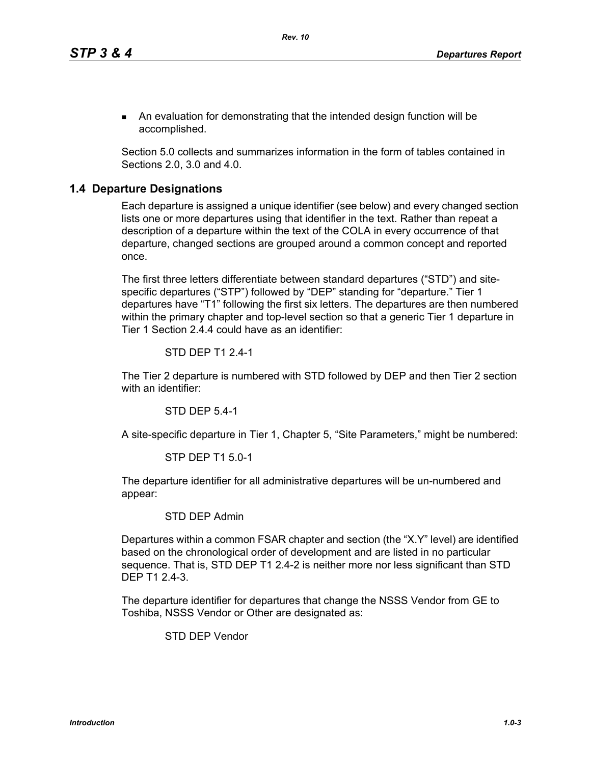An evaluation for demonstrating that the intended design function will be accomplished.

Section 5.0 collects and summarizes information in the form of tables contained in Sections 2.0, 3.0 and 4.0.

### **1.4 Departure Designations**

Each departure is assigned a unique identifier (see below) and every changed section lists one or more departures using that identifier in the text. Rather than repeat a description of a departure within the text of the COLA in every occurrence of that departure, changed sections are grouped around a common concept and reported once.

The first three letters differentiate between standard departures ("STD") and sitespecific departures ("STP") followed by "DEP" standing for "departure." Tier 1 departures have "T1" following the first six letters. The departures are then numbered within the primary chapter and top-level section so that a generic Tier 1 departure in Tier 1 Section 2.4.4 could have as an identifier:

#### STD DEP T1 2.4-1

The Tier 2 departure is numbered with STD followed by DEP and then Tier 2 section with an identifier:

STD DEP 5.4-1

A site-specific departure in Tier 1, Chapter 5, "Site Parameters," might be numbered:

#### STP DEP T1 5.0-1

The departure identifier for all administrative departures will be un-numbered and appear:

#### STD DEP Admin

Departures within a common FSAR chapter and section (the "X.Y" level) are identified based on the chronological order of development and are listed in no particular sequence. That is, STD DEP T1 2.4-2 is neither more nor less significant than STD DEP T1 2.4-3.

The departure identifier for departures that change the NSSS Vendor from GE to Toshiba, NSSS Vendor or Other are designated as:

STD DEP Vendor